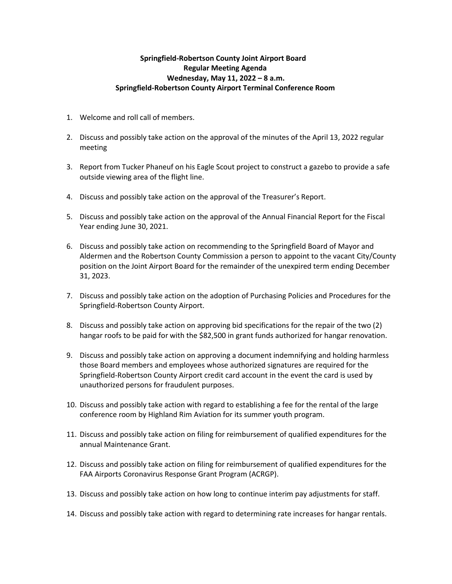## **Springfield-Robertson County Joint Airport Board Regular Meeting Agenda Wednesday, May 11, 2022 – 8 a.m. Springfield-Robertson County Airport Terminal Conference Room**

- 1. Welcome and roll call of members.
- 2. Discuss and possibly take action on the approval of the minutes of the April 13, 2022 regular meeting
- 3. Report from Tucker Phaneuf on his Eagle Scout project to construct a gazebo to provide a safe outside viewing area of the flight line.
- 4. Discuss and possibly take action on the approval of the Treasurer's Report.
- 5. Discuss and possibly take action on the approval of the Annual Financial Report for the Fiscal Year ending June 30, 2021.
- 6. Discuss and possibly take action on recommending to the Springfield Board of Mayor and Aldermen and the Robertson County Commission a person to appoint to the vacant City/County position on the Joint Airport Board for the remainder of the unexpired term ending December 31, 2023.
- 7. Discuss and possibly take action on the adoption of Purchasing Policies and Procedures for the Springfield-Robertson County Airport.
- 8. Discuss and possibly take action on approving bid specifications for the repair of the two (2) hangar roofs to be paid for with the \$82,500 in grant funds authorized for hangar renovation.
- 9. Discuss and possibly take action on approving a document indemnifying and holding harmless those Board members and employees whose authorized signatures are required for the Springfield-Robertson County Airport credit card account in the event the card is used by unauthorized persons for fraudulent purposes.
- 10. Discuss and possibly take action with regard to establishing a fee for the rental of the large conference room by Highland Rim Aviation for its summer youth program.
- 11. Discuss and possibly take action on filing for reimbursement of qualified expenditures for the annual Maintenance Grant.
- 12. Discuss and possibly take action on filing for reimbursement of qualified expenditures for the FAA Airports Coronavirus Response Grant Program (ACRGP).
- 13. Discuss and possibly take action on how long to continue interim pay adjustments for staff.
- 14. Discuss and possibly take action with regard to determining rate increases for hangar rentals.